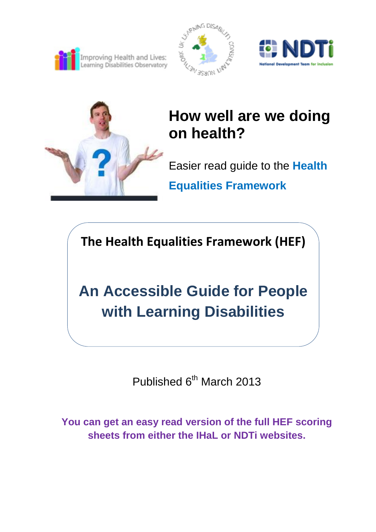







# **How well are we doing on health?**

Easier read guide to the **Health Equalities Framework**

**The Health Equalities Framework (HEF)**

**An Accessible Guide for People with Learning Disabilities**

Published 6<sup>th</sup> March 2013

**You can get an easy read version of the full HEF scoring sheets from either the IHaL or NDTi websites.**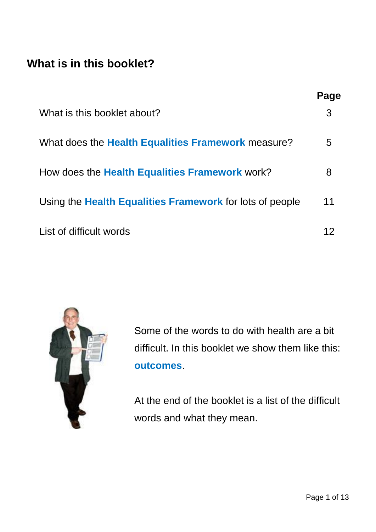#### **What is in this booklet?**

|                                                           | Page |
|-----------------------------------------------------------|------|
| What is this booklet about?                               | 3    |
| What does the <b>Health Equalities Framework</b> measure? | 5    |
| How does the Health Equalities Framework work?            | 8    |
| Using the Health Equalities Framework for lots of people  | 11   |
| List of difficult words                                   | 12   |



Some of the words to do with health are a bit difficult. In this booklet we show them like this: **outcomes**.

At the end of the booklet is a list of the difficult words and what they mean.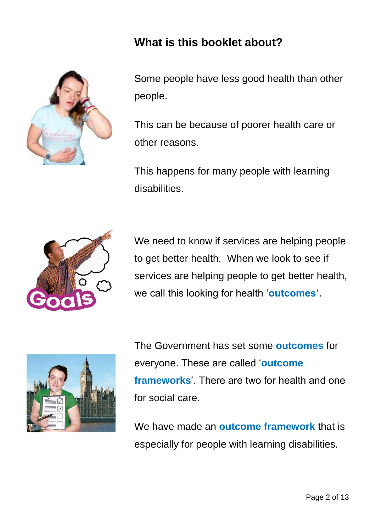

#### **What is this booklet about?**

Some people have less good health than other people.

This can be because of poorer health care or other reasons.

This happens for many people with learning disabilities.



We need to know if services are helping people to get better health. When we look to see if services are helping people to get better health, we call this looking for health '**outcomes'**.



The Government has set some **outcomes** for everyone. These are called '**outcome frameworks**'. There are two for health and one for social care.

We have made an **outcome framework** that is especially for people with learning disabilities.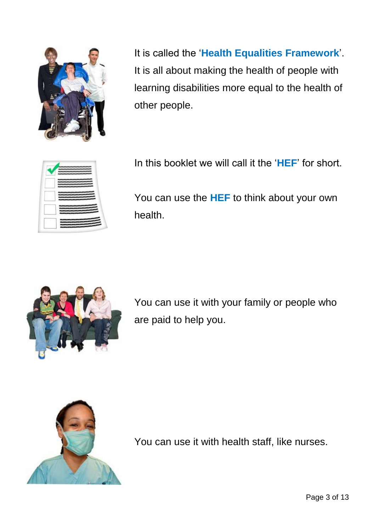

It is called the '**Health Equalities Framework**'. It is all about making the health of people with learning disabilities more equal to the health of other people.



In this booklet we will call it the '**HEF**' for short.

You can use the **HEF** to think about your own health.



You can use it with your family or people who are paid to help you.



You can use it with health staff, like nurses.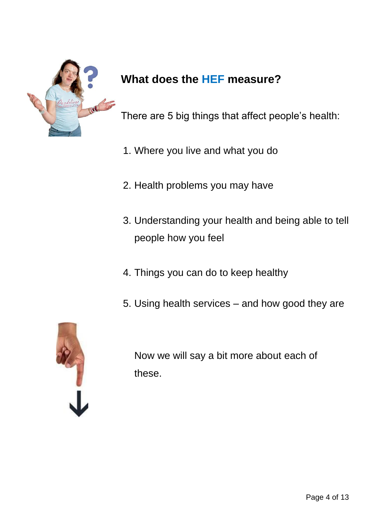

### **What does the HEF measure?**

There are 5 big things that affect people's health:

- 1. Where you live and what you do
- 2. Health problems you may have
- 3. Understanding your health and being able to tell people how you feel
- 4. Things you can do to keep healthy
- 5. Using health services and how good they are



Now we will say a bit more about each of these.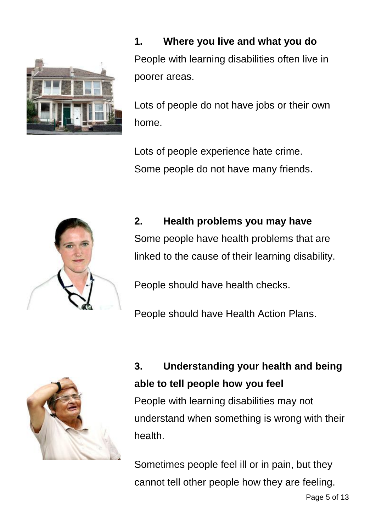

**1. Where you live and what you do** People with learning disabilities often live in poorer areas.

Lots of people do not have jobs or their own home.

Lots of people experience hate crime. Some people do not have many friends.



**2. Health problems you may have** Some people have health problems that are linked to the cause of their learning disability.

People should have health checks.

People should have Health Action Plans.



health.

**3. Understanding your health and being able to tell people how you feel** People with learning disabilities may not understand when something is wrong with their

Sometimes people feel ill or in pain, but they cannot tell other people how they are feeling.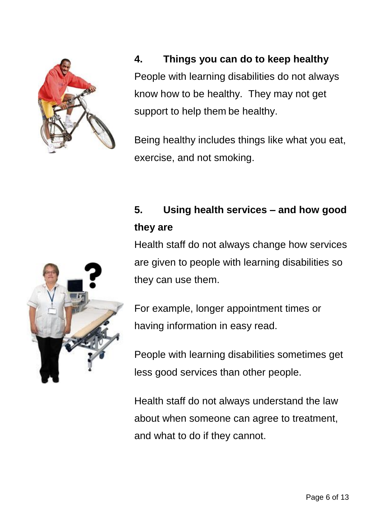

**4. Things you can do to keep healthy** People with learning disabilities do not always know how to be healthy. They may not get support to help them be healthy.

Being healthy includes things like what you eat, exercise, and not smoking.

#### **5. Using health services – and how good they are**

Health staff do not always change how services are given to people with learning disabilities so they can use them.



For example, longer appointment times or having information in easy read.

People with learning disabilities sometimes get less good services than other people.

Health staff do not always understand the law about when someone can agree to treatment, and what to do if they cannot.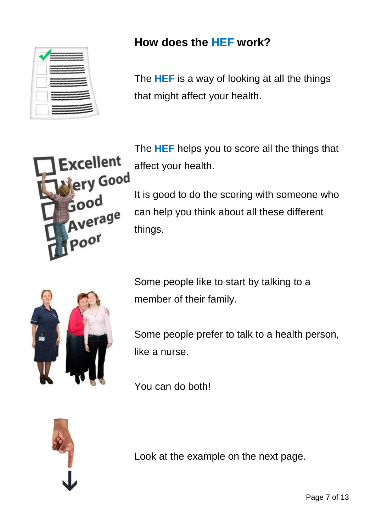

#### **How does the HEF work?**

The **HEF** is a way of looking at all the things that might affect your health.



The **HEF** helps you to score all the things that affect your health.

It is good to do the scoring with someone who can help you think about all these different things.



Some people like to start by talking to a member of their family.

Some people prefer to talk to a health person, like a nurse.

You can do both!



Look at the example on the next page.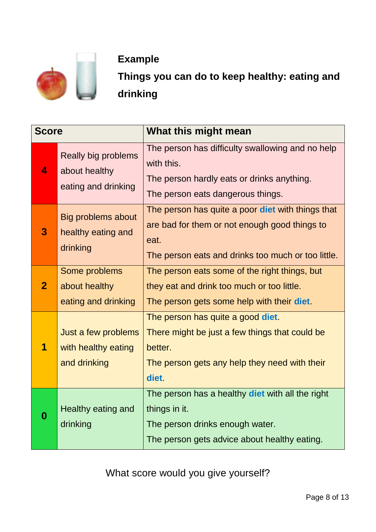

#### **Example**

**Things you can do to keep healthy: eating and drinking**

| <b>Score</b>   |                                                             | What this might mean                                                                                                                                             |  |
|----------------|-------------------------------------------------------------|------------------------------------------------------------------------------------------------------------------------------------------------------------------|--|
| 4              | Really big problems<br>about healthy<br>eating and drinking | The person has difficulty swallowing and no help<br>with this.<br>The person hardly eats or drinks anything.<br>The person eats dangerous things.                |  |
| 3              | <b>Big problems about</b><br>healthy eating and<br>drinking | The person has quite a poor diet with things that<br>are bad for them or not enough good things to<br>eat.<br>The person eats and drinks too much or too little. |  |
| $\overline{2}$ | Some problems<br>about healthy<br>eating and drinking       | The person eats some of the right things, but<br>they eat and drink too much or too little.<br>The person gets some help with their diet.                        |  |
|                | Just a few problems<br>with healthy eating<br>and drinking  | The person has quite a good diet.<br>There might be just a few things that could be<br>better.<br>The person gets any help they need with their<br>diet.         |  |
| 0              | Healthy eating and<br>drinking                              | The person has a healthy diet with all the right<br>things in it.<br>The person drinks enough water.<br>The person gets advice about healthy eating.             |  |

What score would you give yourself?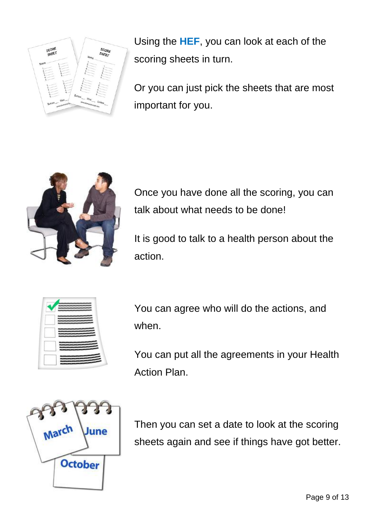

Using the **HEF**, you can look at each of the scoring sheets in turn.

Or you can just pick the sheets that are most important for you.



Once you have done all the scoring, you can talk about what needs to be done!

It is good to talk to a health person about the action.



You can agree who will do the actions, and when.

You can put all the agreements in your Health Action Plan.



Then you can set a date to look at the scoring sheets again and see if things have got better.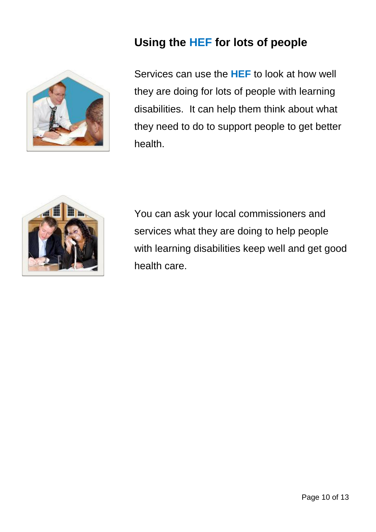

#### **Using the HEF for lots of people**

Services can use the **HEF** to look at how well they are doing for lots of people with learning disabilities. It can help them think about what they need to do to support people to get better health.



You can ask your local commissioners and services what they are doing to help people with learning disabilities keep well and get good health care.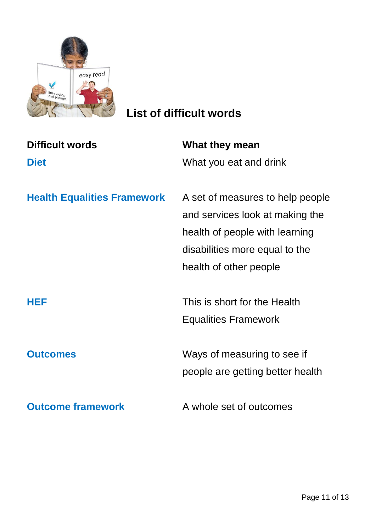

## **List of difficult words**

| <b>Difficult words</b>             | What they mean                   |
|------------------------------------|----------------------------------|
| <b>Diet</b>                        | What you eat and drink           |
|                                    |                                  |
| <b>Health Equalities Framework</b> | A set of measures to help people |
|                                    | and services look at making the  |
|                                    | health of people with learning   |
|                                    | disabilities more equal to the   |
|                                    | health of other people           |
|                                    |                                  |
| HEF                                | This is short for the Health     |
|                                    | <b>Equalities Framework</b>      |
|                                    |                                  |
| <b>Outcomes</b>                    | Ways of measuring to see if      |
|                                    | people are getting better health |
|                                    |                                  |
| <b>Outcome framework</b>           | A whole set of outcomes          |